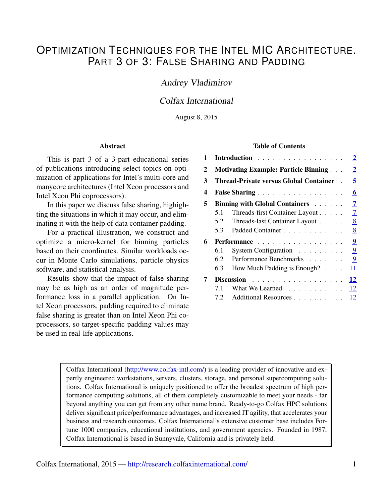# OPTIMIZATION TECHNIQUES FOR THE INTEL MIC ARCHITECTURE. PART 3 OF 3: FALSE SHARING AND PADDING

## Andrey Vladimirov

## Colfax International

August 8, 2015

#### Abstract

This is part 3 of a 3-part educational series of publications introducing select topics on optimization of applications for Intel's multi-core and manycore architectures (Intel Xeon processors and Intel Xeon Phi coprocessors).

In this paper we discuss false sharing, highighting the situations in which it may occur, and eliminating it with the help of data container padding.

For a practical illustration, we construct and optimize a micro-kernel for binning particles based on their coordinates. Similar workloads occur in Monte Carlo simulations, particle physics software, and statistical analysis.

Results show that the impact of false sharing may be as high as an order of magnitude performance loss in a parallel application. On Intel Xeon processors, padding required to eliminate false sharing is greater than on Intel Xeon Phi coprocessors, so target-specific padding values may be used in real-life applications.

#### Table of Contents

| 1 | Introduction                                  |                                              | $\overline{2}$ |
|---|-----------------------------------------------|----------------------------------------------|----------------|
| 2 |                                               | <b>Motivating Example: Particle Binning </b> |                |
| 3 | <b>Thread-Private versus Global Container</b> |                                              | 5              |
| 4 |                                               | False Sharing                                | 6              |
| 5 | <b>Binning with Global Containers</b>         |                                              | 7              |
|   | 5.1                                           | Threads-first Container Layout               | $\overline{7}$ |
|   | 5.2                                           | Threads-last Container Layout                | 8              |
|   | 5.3                                           | Padded Container                             | 8              |
| 6 | Performance                                   |                                              | $\overline{9}$ |
|   | 6.1                                           | System Configuration $\ldots \ldots \ldots$  | 9              |
|   | $6.2^{\circ}$                                 | Performance Benchmarks                       | 9              |
|   | 6.3                                           | How Much Padding is Enough?                  | 11             |
| 7 | Discussion                                    |                                              | 12             |
|   | 7.1                                           | What We Learned                              | 12             |
|   | 7.2                                           | Additional Resources                         | 12             |

Colfax International [\(http://www.colfax-intl.com/\)](http://www.colfax-intl.com) is a leading provider of innovative and expertly engineered workstations, servers, clusters, storage, and personal supercomputing solutions. Colfax International is uniquely positioned to offer the broadest spectrum of high performance computing solutions, all of them completely customizable to meet your needs - far beyond anything you can get from any other name brand. Ready-to-go Colfax HPC solutions deliver significant price/performance advantages, and increased IT agility, that accelerates your business and research outcomes. Colfax International's extensive customer base includes Fortune 1000 companies, educational institutions, and government agencies. Founded in 1987, Colfax International is based in Sunnyvale, California and is privately held.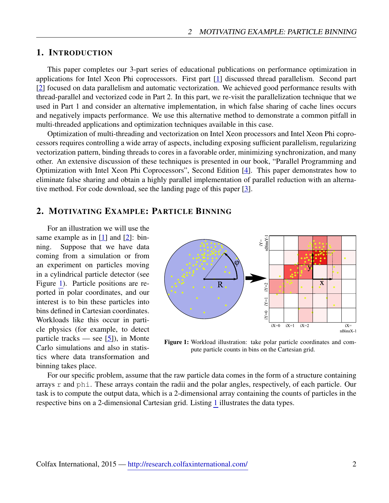## <span id="page-1-0"></span>1. INTRODUCTION

This paper completes our 3-part series of educational publications on performance optimization in applications for Intel Xeon Phi coprocessors. First part [\[1\]](#page-11-3) discussed thread parallelism. Second part [\[2\]](#page-11-4) focused on data parallelism and automatic vectorization. We achieved good performance results with thread-parallel and vectorized code in Part 2. In this part, we re-visit the parallelization technique that we used in Part 1 and consider an alternative implementation, in which false sharing of cache lines occurs and negatively impacts performance. We use this alternative method to demonstrate a common pitfall in multi-threaded applications and optimization techniques available in this case.

Optimization of multi-threading and vectorization on Intel Xeon processors and Intel Xeon Phi coprocessors requires controlling a wide array of aspects, including exposing sufficient parallelism, regularizing vectorization pattern, binding threads to cores in a favorable order, minimizing synchronization, and many other. An extensive discussion of these techniques is presented in our book, "Parallel Programming and Optimization with Intel Xeon Phi Coprocessors", Second Edition [\[4\]](#page-11-5). This paper demonstrates how to eliminate false sharing and obtain a highly parallel implementation of parallel reduction with an alternative method. For code download, see the landing page of this paper [\[3\]](#page-11-6).

## <span id="page-1-1"></span>2. MOTIVATING EXAMPLE: PARTICLE BINNING

For an illustration we will use the same example as in  $[1]$  and  $[2]$ : binning. Suppose that we have data coming from a simulation or from an experiment on particles moving in a cylindrical particle detector (see Figure [1\)](#page-1-2). Particle positions are reported in polar coordinates, and our interest is to bin these particles into bins defined in Cartesian coordinates. Workloads like this occur in particle physics (for example, to detect particle tracks — see  $[5]$ ), in Monte Carlo simulations and also in statistics where data transformation and binning takes place.

<span id="page-1-2"></span>

Figure 1: Workload illustration: take polar particle coordinates and compute particle counts in bins on the Cartesian grid.

For our specific problem, assume that the raw particle data comes in the form of a structure containing arrays r and phi. These arrays contain the radii and the polar angles, respectively, of each particle. Our task is to compute the output data, which is a 2-dimensional array containing the counts of particles in the respective bins on a 2-dimensional Cartesian grid. Listing [1](#page-2-0) illustrates the data types.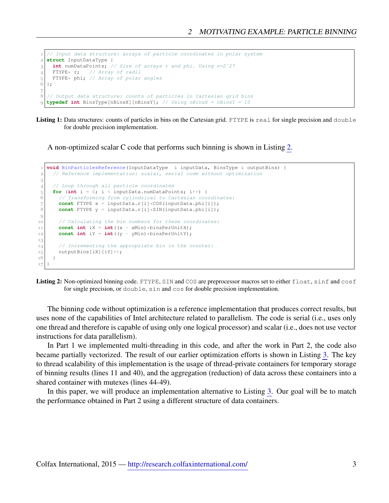```
 // Input data structure: arrays of particle coordinates in polar system
 struct InputDataType {
 int numDataPoints; // Size of arrays r and phi. Using n=2ˆ27
     FTYPE* r; // Array of radii
\begin{bmatrix} 5 \\ 6 \end{bmatrix} FTYPE* phi; // Array of polar angles
   };
\overline{7} // Output data structure: counts of particles in Cartesian grid bins
   typedef int BinsType[nBinsX][nBinsY]; // Using nBinsX = nBinsY = 10
```
Listing 1: Data structures: counts of particles in bins on the Cartesian grid. FTYPE is real for single precision and double for double precision implementation.

A non-optimized scalar C code that performs such binning is shown in Listing [2.](#page-2-1)

```
 void BinParticlesReference(InputDataType & inputData, BinsType & outputBins) {
 // Reference implementation: scalar, serial code without optimization
\mathcal{S} // Loop through all particle coordinates
for (int i = 0; i < inputData.numDataPoints; i++) {<br>6 // Transforming from cylindrical to Cartesian coo.
         // Transforming from cylindrical to Cartesian coordinates:
const FTYPE x = inputData.r[i] * COS(inputData.php[i]);<br>8 const FTYPE y = inputData.r[i] * SIN(inputData.php[i]);
        const FTYPE y = inputData.r[i]*SIM(inputData.php[i]);
\overline{9} // Calculating the bin numbers for these coordinates:
\begin{bmatrix} 11 \end{bmatrix} const int iX = int ((x - xMin) *binsPerUnitX);
|12| const int iY = int((y - yMin)*binsPerUnitY);
^{\rm 13}14 // Incrementing the appropriate bin in the counter:
15 outputBins[iX][iY]++;
16 }
17
```
Listing 2: Non-optimized binning code. FTYPE, SIN and COS are preprocessor macros set to either float, sinf and cosf for single precision, or double, sin and cos for double precision implementation.

The binning code without optimization is a reference implementation that produces correct results, but uses none of the capabilities of Intel architecture related to parallelism. The code is serial (i.e., uses only one thread and therefore is capable of using only one logical processor) and scalar (i.e., does not use vector instructions for data parallelism).

In Part 1 we implemented multi-threading in this code, and after the work in Part 2, the code also became partially vectorized. The result of our earlier optimization efforts is shown in Listing [3.](#page-3-0) The key to thread scalability of this implementation is the usage of thread-private containers for temporary storage of binning results (lines 11 and 40), and the aggregation (reduction) of data across these containers into a shared container with mutexes (lines 44-49).

In this paper, we will produce an implementation alternative to Listing [3.](#page-3-0) Our goal will be to match the performance obtained in Part 2 using a different structure of data containers.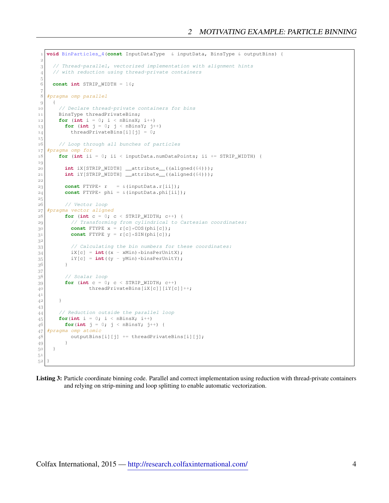```
 void BinParticles_4(const InputDataType & inputData, BinsType & outputBins) {
\overline{2} // Thread-parallel, vectorized implementation with alignment hints
4 // with reduction using thread-private containers
^5 6
     const int STRIP_WIDTH = 16;
\overline{7} #pragma omp parallel
\overline{9} {
10 // Declare thread-private containers for bins
11 BinsType threadPrivateBins;
12 for (int i = 0; i < nBinsX; i++)\begin{bmatrix} 13 \end{bmatrix} for (int j = 0; j < nBinsY; j++)
14 threadPrivateBins[i][j] = 0;
15 // Loop through all bunches of particles
 #pragma omp for
\begin{bmatrix} 18 \end{bmatrix} for (int ii = 0; ii < inputData.numDataPoints; ii += STRIP WIDTH) {
19
 int iX[STRIP_WIDTH] __attribute__((aligned(64)));
 int iY[STRIP_WIDTH] __attribute__((aligned(64)));
_{22}|23| const FTYPE* r = \& (inputData.r[i1]);24 const FTYPE* phi = \& (inputData.phi[ii]);
25 // Vector loop
 #pragma vector aligned
 for (int c = 0; c < STRIP_WIDTH; c++) {
 // Transforming from cylindrical to Cartesian coordinates:
30 const FTYPE x = r[c] * COS(phi[c]);
\begin{bmatrix} 31 \end{bmatrix} const FTYPE y = r[c]*SIM(phi[c]);
32
 // Calculating the bin numbers for these coordinates:
34 iX[c] = int((x - xMin) * binsPerUnitX);\begin{array}{c} 35 \\ 36 \end{array} iY[c] = int((y - yMin)*binsPerUnitY);
36
\frac{37}{38} // Scalar loop
39 for (int c = 0; c < STRIP_WIDTH; c++)
40 threadPrivateBins[iX[c]][iY[c]] ++;
4142   }
43
 // Reduction outside the parallel loop
45 for(int i = 0; i < nBinsX; i++)
46 for(int j = 0; j < nBinsY; j +) {
 #pragma omp atomic
48 outputBins[i][j] += threadPrivateBins[i][j];
 }
50 )
5152
```
Listing 3: Particle coordinate binning code. Parallel and correct implementation using reduction with thread-private containers and relying on strip-mining and loop splitting to enable automatic vectorization.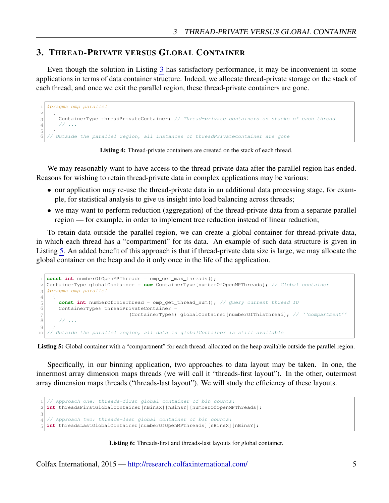## <span id="page-4-0"></span>3. THREAD-PRIVATE VERSUS GLOBAL CONTAINER

Even though the solution in Listing [3](#page-3-0) has satisfactory performance, it may be inconvenient in some applications in terms of data container structure. Indeed, we allocate thread-private storage on the stack of each thread, and once we exit the parallel region, these thread-private containers are gone.

```
 #pragma omp parallel
     {
 ContainerType threadPrivateContainer; // Thread-private containers on stacks of each thread
4 // ...
\overline{5}6 \frac{\pi}{2} Outside the parallel region, all instances of threadPrivateContainer are gone
```
Listing 4: Thread-private containers are created on the stack of each thread.

We may reasonably want to have access to the thread-private data after the parallel region has ended. Reasons for wishing to retain thread-private data in complex applications may be various:

- our application may re-use the thread-private data in an additional data processing stage, for example, for statistical analysis to give us insight into load balancing across threads;
- we may want to perform reduction (aggregation) of the thread-private data from a separate parallel region — for example, in order to implement tree reduction instead of linear reduction;

To retain data outside the parallel region, we can create a global container for thread-private data, in which each thread has a "compartment" for its data. An example of such data structure is given in Listing [5.](#page-4-1) An added benefit of this approach is that if thread-private data size is large, we may allocate the global container on the heap and do it only once in the life of the application.

```
 const int numberOfOpenMPThreads = omp_get_max_threads();
 ContainerType globalContainer = new ContainerType[numberOfOpenMPThreads]; // Global container
 #pragma omp parallel
4 {
 const int numberOfThisThread = omp_get_thread_num(); // Query current thread ID
6 ContainerType& threadPrivateContainer =
 (ContainerType&) globalContainer[numberOfThisThread]; // ''compartment''
8 // ...
\left\{ \begin{array}{c} 0 \\ 0 \end{array} \right\} // Outside the parallel region, all data in globalContainer is still available
```
Listing 5: Global container with a "compartment" for each thread, allocated on the heap available outside the parallel region.

Specifically, in our binning application, two approaches to data layout may be taken. In one, the innermost array dimension maps threads (we will call it "threads-first layout"). In the other, outermost array dimension maps threads ("threads-last layout"). We will study the efficiency of these layouts.

```
// Approach one: threads-first global container of bin counts:
 int threadsFirstGlobalContainer[nBinsX][nBinsY][numberOfOpenMPThreads];
3
4 // Approach two: threads-last global container of bin counts:
 int threadsLastGlobalContainer[numberOfOpenMPThreads][nBinsX][nBinsY];
```
#### Listing 6: Threads-first and threads-last layouts for global container.

Colfax International, 2015 — <http://research.colfaxinternational.com/> 5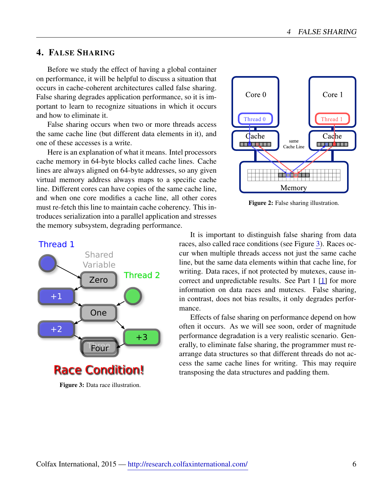## <span id="page-5-0"></span>4. FALSE SHARING

Before we study the effect of having a global container on performance, it will be helpful to discuss a situation that occurs in cache-coherent architectures called false sharing. False sharing degrades application performance, so it is important to learn to recognize situations in which it occurs and how to eliminate it.

False sharing occurs when two or more threads access the same cache line (but different data elements in it), and one of these accesses is a write.

Here is an explanation of what it means. Intel processors cache memory in 64-byte blocks called cache lines. Cache lines are always aligned on 64-byte addresses, so any given virtual memory address always maps to a specific cache line. Different cores can have copies of the same cache line, and when one core modifies a cache line, all other cores must re-fetch this line to maintain cache coherency. This introduces serialization into a parallel application and stresses the memory subsystem, degrading performance.



Figure 2: False sharing illustration.

<span id="page-5-1"></span>

Figure 3: Data race illustration.

It is important to distinguish false sharing from data races, also called race conditions (see Figure [3\)](#page-5-1). Races occur when multiple threads access not just the same cache line, but the same data elements within that cache line, for writing. Data races, if not protected by mutexes, cause incorrect and unpredictable results. See Part 1 [\[1\]](#page-11-3) for more information on data races and mutexes. False sharing, in contrast, does not bias results, it only degrades performance.

Effects of false sharing on performance depend on how often it occurs. As we will see soon, order of magnitude performance degradation is a very realistic scenario. Generally, to eliminate false sharing, the programmer must rearrange data structures so that different threads do not access the same cache lines for writing. This may require transposing the data structures and padding them.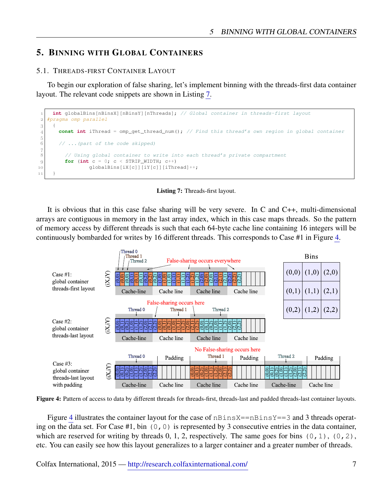## <span id="page-6-0"></span>5. BINNING WITH GLOBAL CONTAINERS

#### <span id="page-6-1"></span>5.1. THREADS-FIRST CONTAINER LAYOUT

To begin our exploration of false sharing, let's implement binning with the threads-first data container layout. The relevant code snippets are shown in Listing [7.](#page-6-2)

```
 int globalBins[nBinsX][nBinsY][nThreads]; // Global container in threads-first layout
 #pragma omp parallel
3 {
 const int iThread = omp_get_thread_num(); // Find this thread's own region in global container
^5_6 // ...(part of the code skipped)
\begin{array}{c} 7 \\ 8 \end{array} // Using global container to write into each thread's private compartment
9 for (int c = 0; c < STRIP_WIDTH; c++)
10 | globalBins[iX[c]][iY[c]][iThread] ++;
11
```
Listing 7: Threads-first layout.

It is obvious that in this case false sharing will be very severe. In C and C++, multi-dimensional arrays are contiguous in memory in the last array index, which in this case maps threads. So the pattern of memory access by different threads is such that each 64-byte cache line containing 16 integers will be continuously bombarded for writes by 16 different threads. This corresponds to Case #1 in Figure [4.](#page-6-3)

<span id="page-6-3"></span>

Figure 4: Pattern of access to data by different threads for threads-first, threads-last and padded threads-last container layouts.

Figure [4](#page-6-3) illustrates the container layout for the case of  $nBinsX == nBinsY == 3$  and 3 threads operating on the data set. For Case #1, bin  $(0, 0)$  is represented by 3 consecutive entries in the data container, which are reserved for writing by threads  $0, 1, 2$ , respectively. The same goes for bins  $(0, 1)$ ,  $(0, 2)$ , etc. You can easily see how this layout generalizes to a larger container and a greater number of threads.

Colfax International, 2015 — <http://research.colfaxinternational.com/> 7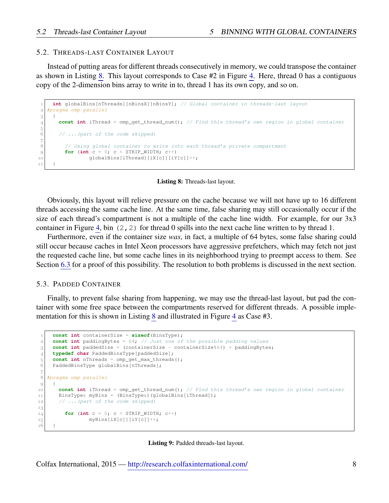#### <span id="page-7-0"></span>5.2. THREADS-LAST CONTAINER LAYOUT

Instead of putting areas for different threads consecutively in memory, we could transpose the container as shown in Listing [8.](#page-7-2) This layout corresponds to Case #2 in Figure [4.](#page-6-3) Here, thread 0 has a contiguous copy of the 2-dimension bins array to write in to, thread 1 has its own copy, and so on.

```
 int globalBins[nThreads][nBinsX][nBinsY]; // Global container in threads-last layout
 #pragma omp parallel
3 \mid \quad \infty const int iThread = omp_get_thread_num(); // Find this thread's own region in global container
\rm 56 // ...(part of the code skipped)
\overline{7} // Using global container to write into each thread's private compartment
|9| for (int c = 0; c < \text{STRIP\_WIDTH}; c++)
10 globalBins[iThread][iX[c]][iY[c]]++;
\overline{1}
```
#### Listing 8: Threads-last layout.

Obviously, this layout will relieve pressure on the cache because we will not have up to 16 different threads accessing the same cache line. At the same time, false sharing may still occasionally occur if the size of each thread's compartment is not a multiple of the cache line width. For example, for our 3x3 container in Figure [4,](#page-6-3) bin  $(2, 2)$  for thread 0 spills into the next cache line written to by thread 1.

Furthermore, even if the container size *was*, in fact, a multiple of 64 bytes, some false sharing could still occur because caches in Intel Xeon processors have aggressive prefetchers, which may fetch not just the requested cache line, but some cache lines in its neighborhood trying to preempt access to them. See Section [6.3](#page-10-0) for a proof of this possibility. The resolution to both problems is discussed in the next section.

#### <span id="page-7-1"></span>5.3. PADDED CONTAINER

Finally, to prevent false sharing from happening, we may use the thread-last layout, but pad the container with some free space between the compartments reserved for different threads. A possible implementation for this is shown in Listing [8](#page-7-2) and illustrated in Figure [4](#page-6-3) as Case #3.

```
 const int containerSize = sizeof(BinsType);
      const int paddingBytes = 64; // Just one of the possible padding values
 const int paddedSize = (containerSize - containerSize%64) + paddingBytes;
 typedef char PaddedBinsType[paddedSize];
<sup>5</sup><br>
const int nThreads = omp_get_max_threads();<br>
PaddedBinsType globalBins[nThreads];
      PaddedBinsType globalBins[nThreads];
\overline{7} #pragma omp parallel
\overline{Q} {
 const int iThread = omp_get_thread_num(); // Find this thread's own region in global container
11 BinsType& myBins = (BinsType&)(globalBins[iThread]);
12 // ...(part of the code skipped)
13
\begin{bmatrix} 14 \end{bmatrix} for (int c = 0; c < STRIP_WIDTH; c++)
15 myBins[iX[c]][iY[c]]++;
16
```
Listing 9: Padded threads-last layout.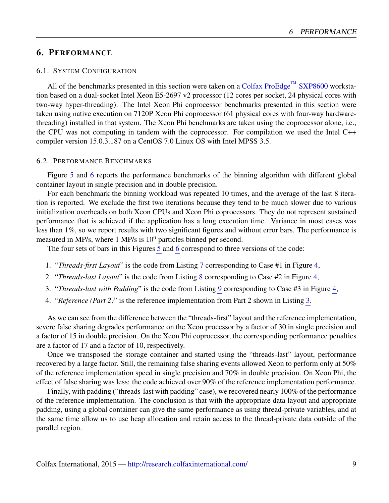## <span id="page-8-0"></span>6. PERFORMANCE

### <span id="page-8-1"></span>6.1. SYSTEM CONFIGURATION

All of the benchmarks presented in this section were taken on a [Colfax ProEdge](http://www.colfax-intl.com/nd/workstations/sxp8600.aspx)<sup>™</sup> SXP8600 workstation based on a dual-socket Intel Xeon E5-2697 v2 processor (12 cores per socket, 24 physical cores with two-way hyper-threading). The Intel Xeon Phi coprocessor benchmarks presented in this section were taken using native execution on 7120P Xeon Phi coprocessor (61 physical cores with four-way hardwarethreading) installed in that system. The Xeon Phi benchmarks are taken using the coprocessor alone, i.e., the CPU was not computing in tandem with the coprocessor. For compilation we used the Intel C++ compiler version 15.0.3.187 on a CentOS 7.0 Linux OS with Intel MPSS 3.5.

#### <span id="page-8-2"></span>6.2. PERFORMANCE BENCHMARKS

Figure [5](#page-9-0) and [6](#page-9-1) reports the performance benchmarks of the binning algorithm with different global container layout in single precision and in double precision.

For each benchmark the binning workload was repeated 10 times, and the average of the last 8 iteration is reported. We exclude the first two iterations because they tend to be much slower due to various initialization overheads on both Xeon CPUs and Xeon Phi coprocessors. They do not represent sustained performance that is achieved if the application has a long execution time. Variance in most cases was less than 1%, so we report results with two significant figures and without error bars. The performance is measured in MP/s, where 1 MP/s is  $10<sup>6</sup>$  particles binned per second.

The four sets of bars in this Figures [5](#page-9-0) and [6](#page-9-1) correspond to three versions of the code:

- 1. "*Threads-first Layout*" is the code from Listing [7](#page-6-2) corresponding to Case #1 in Figure [4,](#page-6-3)
- 2. "*Threads-last Layout*" is the code from Listing [8](#page-7-2) corresponding to Case #2 in Figure [4,](#page-6-3)
- 3. "*Threads-last with Padding*" is the code from Listing [9](#page-7-3) corresponding to Case #3 in Figure [4,](#page-6-3)
- 4. "*Reference (Part 2)*" is the reference implementation from Part 2 shown in Listing [3.](#page-3-0)

As we can see from the difference between the "threads-first" layout and the reference implementation, severe false sharing degrades performance on the Xeon processor by a factor of 30 in single precision and a factor of 15 in double precision. On the Xeon Phi coprocessor, the corresponding performance penalties are a factor of 17 and a factor of 10, respectively.

Once we transposed the storage container and started using the "threads-last" layout, performance recovered by a large factor. Still, the remaining false sharing events allowed Xeon to perform only at 50% of the reference implementation speed in single precision and 70% in double precision. On Xeon Phi, the effect of false sharing was less: the code achieved over 90% of the reference implementation performance.

Finally, with padding ("threads-last with padding" case), we recovered nearly 100% of the performance of the reference implementation. The conclusion is that with the appropriate data layout and appropriate padding, using a global container can give the same performance as using thread-private variables, and at the same time allow us to use heap allocation and retain access to the thread-private data outside of the parallel region.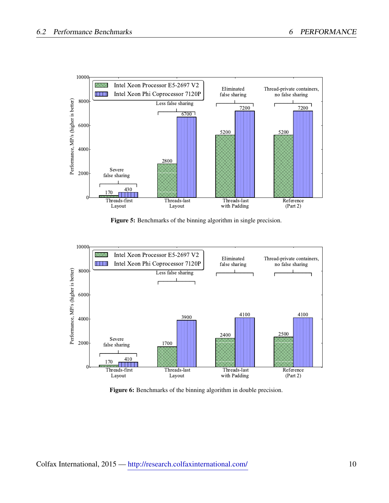<span id="page-9-0"></span>

Figure 5: Benchmarks of the binning algorithm in single precision.

<span id="page-9-1"></span>

Figure 6: Benchmarks of the binning algorithm in double precision.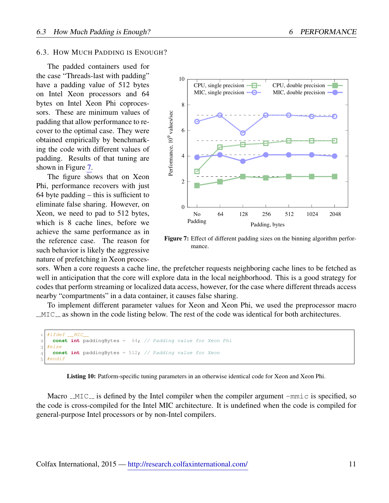#### <span id="page-10-0"></span>6.3. HOW MUCH PADDING IS ENOUGH?

The padded containers used for the case "Threads-last with padding" have a padding value of 512 bytes on Intel Xeon processors and 64 bytes on Intel Xeon Phi coprocessors. These are minimum values of padding that allow performance to recover to the optimal case. They were obtained empirically by benchmarking the code with different values of padding. Results of that tuning are shown in Figure [7.](#page-10-1)

The figure shows that on Xeon Phi, performance recovers with just 64 byte padding – this is sufficient to eliminate false sharing. However, on Xeon, we need to pad to 512 bytes, which is 8 cache lines, before we achieve the same performance as in the reference case. The reason for such behavior is likely the aggressive nature of prefetching in Xeon proces-

<span id="page-10-1"></span>

Figure 7: Effect of different padding sizes on the binning algorithm performance.

sors. When a core requests a cache line, the prefetcher requests neighboring cache lines to be fetched as well in anticipation that the core will explore data in the local neighborhood. This is a good strategy for codes that perform streaming or localized data access, however, for the case where different threads access nearby "compartments" in a data container, it causes false sharing.

To implement different parameter values for Xeon and Xeon Phi, we used the preprocessor macro  $\text{\_MIC}_{\text{\_}}$  as shown in the code listing below. The rest of the code was identical for both architectures.

```
#ifdef MIC
     const int paddingBytes = 64; // Padding value for Xeon Phi
 #else
     const int paddingBytes = 512; // Padding value for Xeon
   #endif
```
Listing 10: Patform-specific tuning parameters in an otherwise identical code for Xeon and Xeon Phi.

Macro  $\text{MIC}_{\text{max}}$  is defined by the Intel compiler when the compiler argument  $\text{--mnic}$  is specified, so the code is cross-compiled for the Intel MIC architecture. It is undefined when the code is compiled for general-purpose Intel processors or by non-Intel compilers.